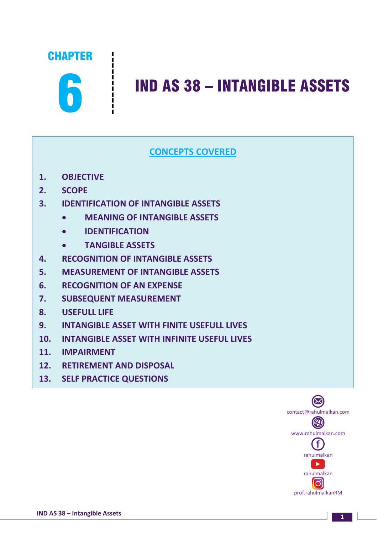

# 6 IND AS 38 – INTANGIBLE ASSETS

# **CONCEPTS COVERED**

- **1. OBJECTIVE**
- **2. SCOPE**
- **3. IDENTIFICATION OF INTANGIBLE ASSETS**
	- **MEANING OF INTANGIBLE ASSETS**
	- **IDENTIFICATION**
	- **TANGIBLE ASSETS**
- **4. RECOGNITION OF INTANGIBLE ASSETS**
- **5. MEASUREMENT OF INTANGIBLE ASSETS**
- **6. RECOGNITION OF AN EXPENSE**
- **7. SUBSEQUENT MEASUREMENT**
- **8. USEFULL LIFE**
- **9. INTANGIBLE ASSET WITH FINITE USEFULL LIVES**
- **10. INTANGIBLE ASSET WITH INFINITE USEFUL LIVES**
- **11. IMPAIRMENT**
- **12. RETIREMENT AND DISPOSAL**
- **13. SELF PRACTICE QUESTIONS**

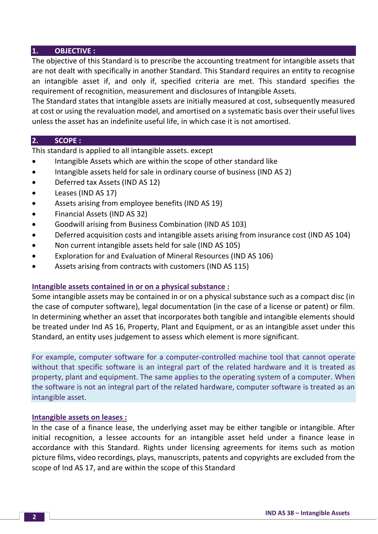#### **1. OBJECTIVE :**

The objective of this Standard is to prescribe the accounting treatment for intangible assets that are not dealt with specifically in another Standard. This Standard requires an entity to recognise an intangible asset if, and only if, specified criteria are met. This standard specifies the requirement of recognition, measurement and disclosures of Intangible Assets.

The Standard states that intangible assets are initially measured at cost, subsequently measured at cost or using the revaluation model, and amortised on a systematic basis over their useful lives unless the asset has an indefinite useful life, in which case it is not amortised.

#### **2. SCOPE :**

This standard is applied to all intangible assets. except

- Intangible Assets which are within the scope of other standard like
- Intangible assets held for sale in ordinary course of business (IND AS 2)
- Deferred tax Assets (IND AS 12)
- Leases (IND AS 17)
- Assets arising from employee benefits (IND AS 19)
- Financial Assets (IND AS 32)
- Goodwill arising from Business Combination (IND AS 103)
- Deferred acquisition costs and intangible assets arising from insurance cost (IND AS 104)
- Non current intangible assets held for sale (IND AS 105)
- Exploration for and Evaluation of Mineral Resources (IND AS 106)
- Assets arising from contracts with customers (IND AS 115)

#### **Intangible assets contained in or on a physical substance :**

Some intangible assets may be contained in or on a physical substance such as a compact disc (in the case of computer software), legal documentation (in the case of a license or patent) or film. In determining whether an asset that incorporates both tangible and intangible elements should be treated under Ind AS 16, Property, Plant and Equipment, or as an intangible asset under this Standard, an entity uses judgement to assess which element is more significant.

For example, computer software for a computer-controlled machine tool that cannot operate without that specific software is an integral part of the related hardware and it is treated as property, plant and equipment. The same applies to the operating system of a computer. When the software is not an integral part of the related hardware, computer software is treated as an intangible asset.

#### **Intangible assets on leases :**

In the case of a finance lease, the underlying asset may be either tangible or intangible. After initial recognition, a lessee accounts for an intangible asset held under a finance lease in accordance with this Standard. Rights under licensing agreements for items such as motion picture films, video recordings, plays, manuscripts, patents and copyrights are excluded from the scope of Ind AS 17, and are within the scope of this Standard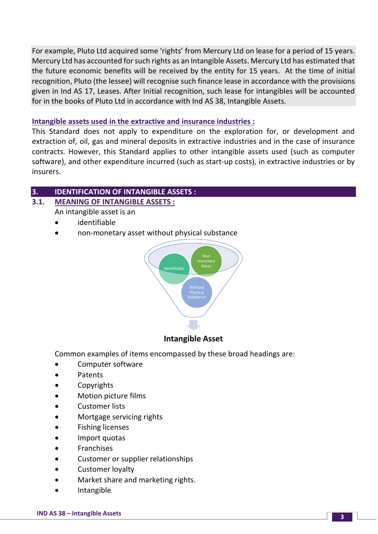For example, Pluto Ltd acquired some 'rights' from Mercury Ltd on lease for a period of 15 years. Mercury Ltd has accounted for such rights as an Intangible Assets. Mercury Ltd has estimated that the future economic benefits will be received by the entity for 15 years. At the time of initial recognition, Pluto (the lessee) will recognise such finance lease in accordance with the provisions given in Ind AS 17, Leases. After Initial recognition, such lease for intangibles will be accounted for in the books of Pluto Ltd in accordance with Ind AS 38, Intangible Assets.

#### **Intangible assets used in the extractive and insurance industries :**

This Standard does not apply to expenditure on the exploration for, or development and extraction of, oil, gas and mineral deposits in extractive industries and in the case of insurance contracts. However, this Standard applies to other intangible assets used (such as computer software), and other expenditure incurred (such as start-up costs), in extractive industries or by insurers.

# **3. IDENTIFICATION OF INTANGIBLE ASSETS :**

# **3.1. MEANING OF INTANGIBLE ASSETS :**

An intangible asset is an

- identifiable
- non-monetary asset without physical substance



# **Intangible Asset**

Common examples of items encompassed by these broad headings are:

- Computer software
- Patents
- Copyrights
- Motion picture films
- Customer lists
- Mortgage servicing rights
- Fishing licenses
- Import quotas
- Franchises
- Customer or supplier relationships
- Customer loyalty
- Market share and marketing rights.
- Intangible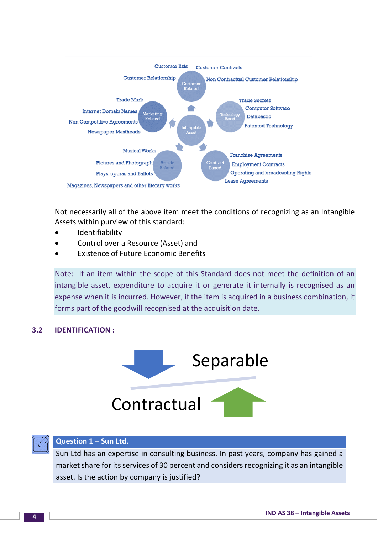

Not necessarily all of the above item meet the conditions of recognizing as an Intangible Assets within purview of this standard:

- Identifiability
- Control over a Resource (Asset) and
- Existence of Future Economic Benefits

Note: If an item within the scope of this Standard does not meet the definition of an intangible asset, expenditure to acquire it or generate it internally is recognised as an expense when it is incurred. However, if the item is acquired in a business combination, it forms part of the goodwill recognised at the acquisition date.

# **3.2 IDENTIFICATION :**





# **Question 1 – Sun Ltd.**

Sun Ltd has an expertise in consulting business. In past years, company has gained a market share for its services of 30 percent and considers recognizing it as an intangible asset. Is the action by company is justified?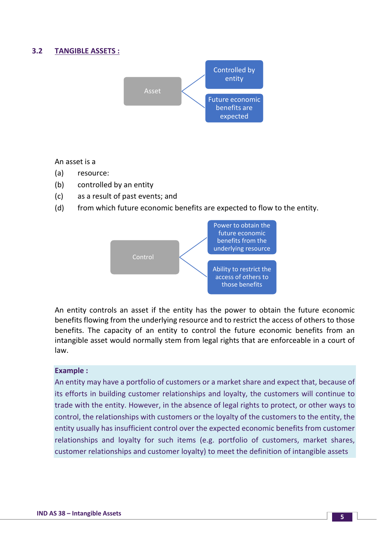# **3.2 TANGIBLE ASSETS :**



#### An asset is a

- (a) resource:
- (b) controlled by an entity
- (c) as a result of past events; and
- (d) from which future economic benefits are expected to flow to the entity.



An entity controls an asset if the entity has the power to obtain the future economic benefits flowing from the underlying resource and to restrict the access of others to those benefits. The capacity of an entity to control the future economic benefits from an intangible asset would normally stem from legal rights that are enforceable in a court of law.

#### **Example :**

An entity may have a portfolio of customers or a market share and expect that, because of its efforts in building customer relationships and loyalty, the customers will continue to trade with the entity. However, in the absence of legal rights to protect, or other ways to control, the relationships with customers or the loyalty of the customers to the entity, the entity usually has insufficient control over the expected economic benefits from customer relationships and loyalty for such items (e.g. portfolio of customers, market shares, customer relationships and customer loyalty) to meet the definition of intangible assets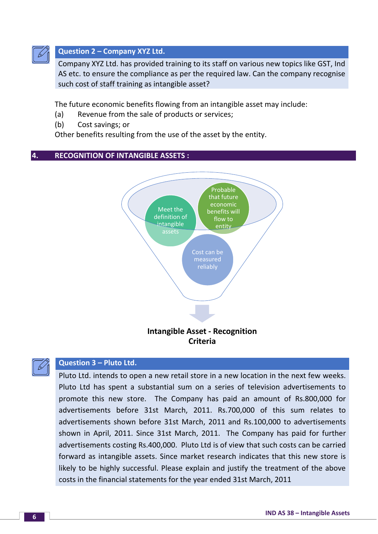

# **Question 2 – Company XYZ Ltd.**

Company XYZ Ltd. has provided training to its staff on various new topics like GST, Ind AS etc. to ensure the compliance as per the required law. Can the company recognise such cost of staff training as intangible asset?

The future economic benefits flowing from an intangible asset may include:

- (a) Revenue from the sale of products or services;
- (b) Cost savings; or

Other benefits resulting from the use of the asset by the entity.

# **4. RECOGNITION OF INTANGIBLE ASSETS :**





# **Question 3 – Pluto Ltd.**

Pluto Ltd. intends to open a new retail store in a new location in the next few weeks. Pluto Ltd has spent a substantial sum on a series of television advertisements to promote this new store. The Company has paid an amount of Rs.800,000 for advertisements before 31st March, 2011. Rs.700,000 of this sum relates to advertisements shown before 31st March, 2011 and Rs.100,000 to advertisements shown in April, 2011. Since 31st March, 2011. The Company has paid for further advertisements costing Rs.400,000. Pluto Ltd is of view that such costs can be carried forward as intangible assets. Since market research indicates that this new store is likely to be highly successful. Please explain and justify the treatment of the above costs in the financial statements for the year ended 31st March, 2011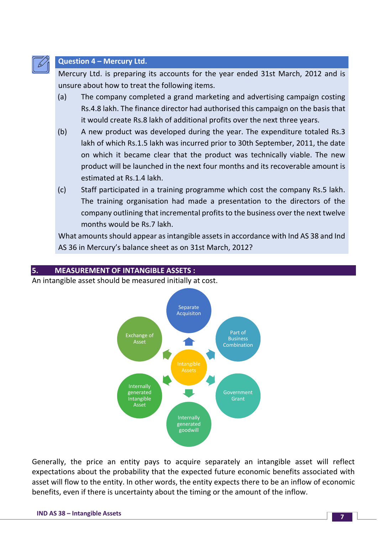

# **Question 4 – Mercury Ltd.**

Mercury Ltd. is preparing its accounts for the year ended 31st March, 2012 and is unsure about how to treat the following items.

- (a) The company completed a grand marketing and advertising campaign costing Rs.4.8 lakh. The finance director had authorised this campaign on the basis that it would create Rs.8 lakh of additional profits over the next three years.
- (b) A new product was developed during the year. The expenditure totaled Rs.3 lakh of which Rs.1.5 lakh was incurred prior to 30th September, 2011, the date on which it became clear that the product was technically viable. The new product will be launched in the next four months and its recoverable amount is estimated at Rs.1.4 lakh.
- (c) Staff participated in a training programme which cost the company Rs.5 lakh. The training organisation had made a presentation to the directors of the company outlining that incremental profits to the business over the next twelve months would be Rs.7 lakh.

What amounts should appear as intangible assets in accordance with Ind AS 38 and Ind AS 36 in Mercury's balance sheet as on 31st March, 2012?

# **5. MEASUREMENT OF INTANGIBLE ASSETS :**

An intangible asset should be measured initially at cost.



Generally, the price an entity pays to acquire separately an intangible asset will reflect expectations about the probability that the expected future economic benefits associated with asset will flow to the entity. In other words, the entity expects there to be an inflow of economic benefits, even if there is uncertainty about the timing or the amount of the inflow.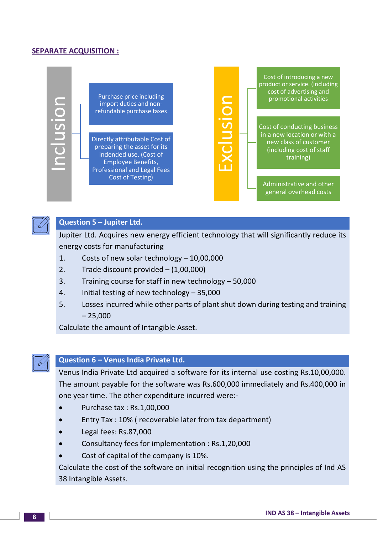#### **SEPARATE ACQUISITION :**

Purchase price including import duties and nonrefundable purchase taxes

Directly attributable Cost of preparing the asset for its indended use. (Cost of Employee Benefits, Professional and Legal Fees Cost of Testing)

Cost of introducing a new product or service. (including cost of advertising and promotional activities

Cost of conducting business in a new location or with a new class of customer (including cost of staff training)

Administrative and other general overhead costs

# **Question 5 – Jupiter Ltd.**

Jupiter Ltd. Acquires new energy efficient technology that will significantly reduce its energy costs for manufacturing

Exclusion

**NCLUSION** 

- 1. Costs of new solar technology 10,00,000
- 2. Trade discount provided (1,00,000)
- 3. Training course for staff in new technology 50,000
- 4. Initial testing of new technology 35,000
- 5. Losses incurred while other parts of plant shut down during testing and training  $-25,000$

Calculate the amount of Intangible Asset.



# **Question 6 – Venus India Private Ltd.**

Venus India Private Ltd acquired a software for its internal use costing Rs.10,00,000. The amount payable for the software was Rs.600,000 immediately and Rs.400,000 in one year time. The other expenditure incurred were:- **38 Internal Concernsition**<br> **38 Internal Concernsition**<br> **38 Internal Concernsition**<br> **38 Internal Concernsition**<br> **28 Internal Concernsition**<br> **28 Internal Concernsition**<br> **38 Internal Concernsition**<br> **28 Internal Concer** 

- Purchase tax : Rs.1,00,000
- Entry Tax : 10% ( recoverable later from tax department)
- Legal fees: Rs.87,000
- Consultancy fees for implementation : Rs.1,20,000
- Cost of capital of the company is 10%.

Calculate the cost of the software on initial recognition using the principles of Ind AS 38 Intangible Assets.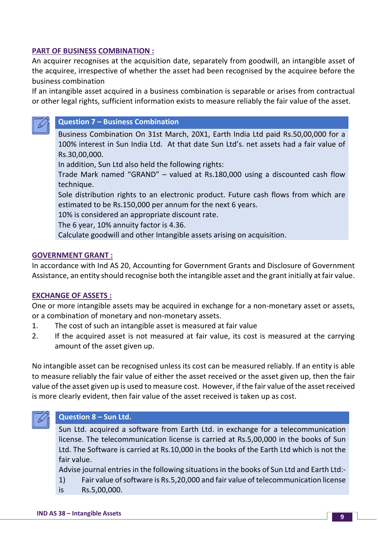# **PART OF BUSINESS COMBINATION :**

An acquirer recognises at the acquisition date, separately from goodwill, an intangible asset of the acquiree, irrespective of whether the asset had been recognised by the acquiree before the business combination

If an intangible asset acquired in a business combination is separable or arises from contractual or other legal rights, sufficient information exists to measure reliably the fair value of the asset.



# **Question 7 – Business Combination**

Business Combination On 31st March, 20X1, Earth India Ltd paid Rs.50,00,000 for a 100% interest in Sun India Ltd. At that date Sun Ltd's. net assets had a fair value of Rs.30,00,000.

In addition, Sun Ltd also held the following rights:

Trade Mark named "GRAND" – valued at Rs.180,000 using a discounted cash flow technique.

Sole distribution rights to an electronic product. Future cash flows from which are estimated to be Rs.150,000 per annum for the next 6 years.

10% is considered an appropriate discount rate.

The 6 year, 10% annuity factor is 4.36.

Calculate goodwill and other Intangible assets arising on acquisition.

# **GOVERNMENT GRANT :**

In accordance with Ind AS 20, Accounting for Government Grants and Disclosure of Government Assistance, an entity should recognise both the intangible asset and the grant initially at fair value.

# **EXCHANGE OF ASSETS :**

One or more intangible assets may be acquired in exchange for a non-monetary asset or assets, or a combination of monetary and non-monetary assets.

- 1. The cost of such an intangible asset is measured at fair value
- 2. If the acquired asset is not measured at fair value, its cost is measured at the carrying amount of the asset given up.

No intangible asset can be recognised unless its cost can be measured reliably. If an entity is able to measure reliably the fair value of either the asset received or the asset given up, then the fair value of the asset given up is used to measure cost. However, if the fair value of the asset received is more clearly evident, then fair value of the asset received is taken up as cost.



# **Question 8 – Sun Ltd.**

Sun Ltd. acquired a software from Earth Ltd. in exchange for a telecommunication license. The telecommunication license is carried at Rs.5,00,000 in the books of Sun Ltd. The Software is carried at Rs.10,000 in the books of the Earth Ltd which is not the fair value.

Advise journal entries in the following situations in the books of Sun Ltd and Earth Ltd:-

- 1) Fair value of software is Rs.5,20,000 and fair value of telecommunication license
- is Rs.5,00,000.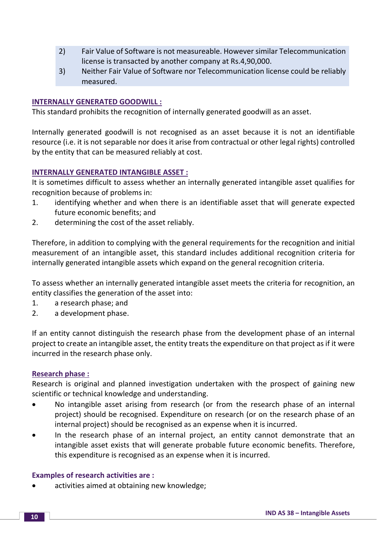- 2) Fair Value of Software is not measureable. However similar Telecommunication license is transacted by another company at Rs.4,90,000.
- 3) Neither Fair Value of Software nor Telecommunication license could be reliably measured.

# **INTERNALLY GENERATED GOODWILL :**

This standard prohibits the recognition of internally generated goodwill as an asset.

Internally generated goodwill is not recognised as an asset because it is not an identifiable resource (i.e. it is not separable nor does it arise from contractual or other legal rights) controlled by the entity that can be measured reliably at cost.

# **INTERNALLY GENERATED INTANGIBLE ASSET :**

It is sometimes difficult to assess whether an internally generated intangible asset qualifies for recognition because of problems in:

- 1. identifying whether and when there is an identifiable asset that will generate expected future economic benefits; and
- 2. determining the cost of the asset reliably.

Therefore, in addition to complying with the general requirements for the recognition and initial measurement of an intangible asset, this standard includes additional recognition criteria for internally generated intangible assets which expand on the general recognition criteria.

To assess whether an internally generated intangible asset meets the criteria for recognition, an entity classifies the generation of the asset into:

- 1. a research phase; and
- 2. a development phase.

If an entity cannot distinguish the research phase from the development phase of an internal project to create an intangible asset, the entity treats the expenditure on that project as if it were incurred in the research phase only.

#### **Research phase :**

Research is original and planned investigation undertaken with the prospect of gaining new scientific or technical knowledge and understanding.

- No intangible asset arising from research (or from the research phase of an internal project) should be recognised. Expenditure on research (or on the research phase of an internal project) should be recognised as an expense when it is incurred.
- In the research phase of an internal project, an entity cannot demonstrate that an intangible asset exists that will generate probable future economic benefits. Therefore, this expenditure is recognised as an expense when it is incurred.

# **Examples of research activities are :**

• activities aimed at obtaining new knowledge;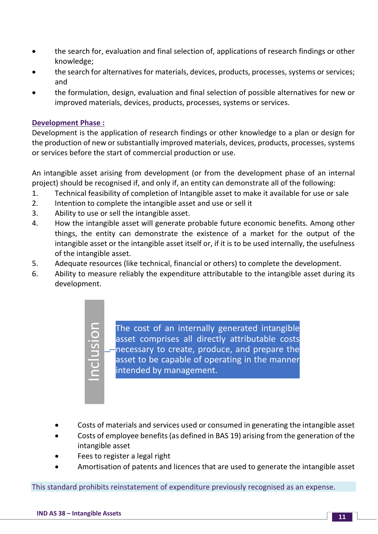- the search for, evaluation and final selection of, applications of research findings or other knowledge;
- the search for alternatives for materials, devices, products, processes, systems or services; and
- the formulation, design, evaluation and final selection of possible alternatives for new or improved materials, devices, products, processes, systems or services.

# **Development Phase :**

Development is the application of research findings or other knowledge to a plan or design for the production of new or substantially improved materials, devices, products, processes, systems or services before the start of commercial production or use.

An intangible asset arising from development (or from the development phase of an internal project) should be recognised if, and only if, an entity can demonstrate all of the following:

- 1. Technical feasibility of completion of Intangible asset to make it available for use or sale
- 2. Intention to complete the intangible asset and use or sell it
- 3. Ability to use or sell the intangible asset.
- 4. How the intangible asset will generate probable future economic benefits. Among other things, the entity can demonstrate the existence of a market for the output of the intangible asset or the intangible asset itself or, if it is to be used internally, the usefulness of the intangible asset.
- 5. Adequate resources (like technical, financial or others) to complete the development.
- 6. Ability to measure reliably the expenditure attributable to the intangible asset during its development.

The cost of an internally generated intangible<br> **11** directly attributable costs<br> **11** directly attributable costs<br> **12** –<br> **12** –<br> **12** –<br> **12** asset to be capable of operating in the manner<br> **12**<br> **12** intended by manage The cost of an internally generated intangible asset comprises all directly attributable costs necessary to create, produce, and prepare the asset to be capable of operating in the manner intended by management.

- Costs of materials and services used or consumed in generating the intangible asset
- Costs of employee benefits (as defined in BAS 19) arising from the generation of the intangible asset
- Fees to register a legal right
- Amortisation of patents and licences that are used to generate the intangible asset

This standard prohibits reinstatement of expenditure previously recognised as an expense.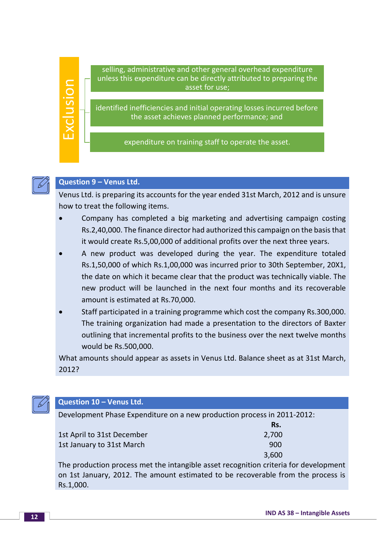selling, administrative and other general overhead expenditure unless this expenditure can be directly attributed to preparing the asset for use;

identified inefficiencies and initial operating losses incurred before the asset achieves planned performance; and

expenditure on training staff to operate the asset.



# **Question 9 – Venus Ltd.**

Venus Ltd. is preparing its accounts for the year ended 31st March, 2012 and is unsure how to treat the following items.

- Company has completed a big marketing and advertising campaign costing Rs.2,40,000. The finance director had authorized this campaign on the basis that it would create Rs.5,00,000 of additional profits over the next three years.
- **12 IDENTIFY IS a stationary of the interaction of the process in the interaction of the asset celebre of the asset celebre of the asset celebre of the asset celebre of the asset celebre of the asset celebre of the space** • A new product was developed during the year. The expenditure totaled Rs.1,50,000 of which Rs.1,00,000 was incurred prior to 30th September, 20X1, the date on which it became clear that the product was technically viable. The new product will be launched in the next four months and its recoverable amount is estimated at Rs.70,000.
	- Staff participated in a training programme which cost the company Rs.300,000. The training organization had made a presentation to the directors of Baxter outlining that incremental profits to the business over the next twelve months would be Rs.500,000.

What amounts should appear as assets in Venus Ltd. Balance sheet as at 31st March, 2012?



# **Question 10 – Venus Ltd.**

Development Phase Expenditure on a new production process in 2011-2012:

|                            | Rs.   |
|----------------------------|-------|
| 1st April to 31st December | 2,700 |
| 1st January to 31st March  | 900   |
|                            | 3,600 |

The production process met the intangible asset recognition criteria for development on 1st January, 2012. The amount estimated to be recoverable from the process is Rs.1,000.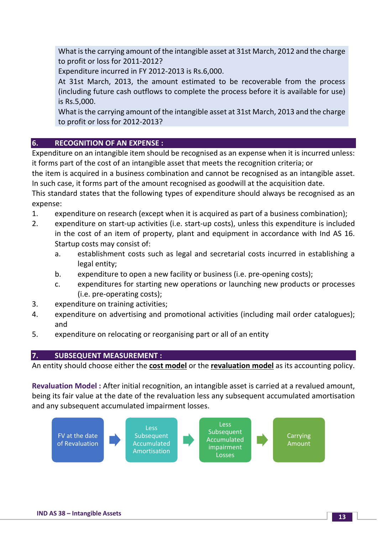What is the carrying amount of the intangible asset at 31st March, 2012 and the charge to profit or loss for 2011-2012?

Expenditure incurred in FY 2012-2013 is Rs.6,000.

At 31st March, 2013, the amount estimated to be recoverable from the process (including future cash outflows to complete the process before it is available for use) is Rs.5,000.

What is the carrying amount of the intangible asset at 31st March, 2013 and the charge to profit or loss for 2012-2013?

# **6. RECOGNITION OF AN EXPENSE :**

Expenditure on an intangible item should be recognised as an expense when it is incurred unless: it forms part of the cost of an intangible asset that meets the recognition criteria; or

the item is acquired in a business combination and cannot be recognised as an intangible asset. In such case, it forms part of the amount recognised as goodwill at the acquisition date.

This standard states that the following types of expenditure should always be recognised as an expense:

- 1. expenditure on research (except when it is acquired as part of a business combination);
- 2. expenditure on start-up activities (i.e. start-up costs), unless this expenditure is included in the cost of an item of property, plant and equipment in accordance with Ind AS 16. Startup costs may consist of:
	- a. establishment costs such as legal and secretarial costs incurred in establishing a legal entity;
	- b. expenditure to open a new facility or business (i.e. pre-opening costs);
	- c. expenditures for starting new operations or launching new products or processes (i.e. pre-operating costs);
- 3. expenditure on training activities;
- 4. expenditure on advertising and promotional activities (including mail order catalogues); and
- 5. expenditure on relocating or reorganising part or all of an entity

# **7. SUBSEQUENT MEASUREMENT :**

An entity should choose either the **cost model** or the **revaluation model** as its accounting policy.

**Revaluation Model :** After initial recognition, an intangible asset is carried at a revalued amount, being its fair value at the date of the revaluation less any subsequent accumulated amortisation and any subsequent accumulated impairment losses.

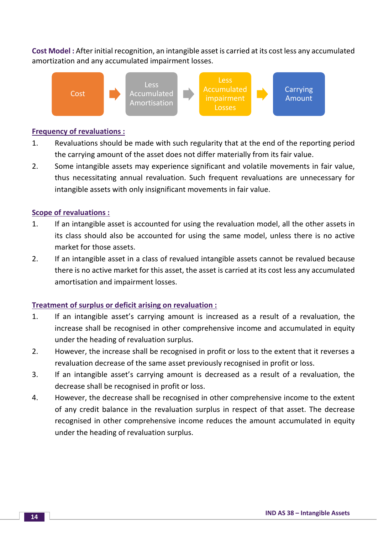**Cost Model :** After initial recognition, an intangible asset is carried at its cost less any accumulated amortization and any accumulated impairment losses.



#### **Frequency of revaluations :**

- 1. Revaluations should be made with such regularity that at the end of the reporting period the carrying amount of the asset does not differ materially from its fair value.
- 2. Some intangible assets may experience significant and volatile movements in fair value, thus necessitating annual revaluation. Such frequent revaluations are unnecessary for intangible assets with only insignificant movements in fair value.

#### **Scope of revaluations :**

- 1. If an intangible asset is accounted for using the revaluation model, all the other assets in its class should also be accounted for using the same model, unless there is no active market for those assets.
- 2. If an intangible asset in a class of revalued intangible assets cannot be revalued because there is no active market for this asset, the asset is carried at its cost less any accumulated amortisation and impairment losses.

# **Treatment of surplus or deficit arising on revaluation :**

- 1. If an intangible asset's carrying amount is increased as a result of a revaluation, the increase shall be recognised in other comprehensive income and accumulated in equity under the heading of revaluation surplus.
- 2. However, the increase shall be recognised in profit or loss to the extent that it reverses a revaluation decrease of the same asset previously recognised in profit or loss.
- 3. If an intangible asset's carrying amount is decreased as a result of a revaluation, the decrease shall be recognised in profit or loss.
- 4. However, the decrease shall be recognised in other comprehensive income to the extent of any credit balance in the revaluation surplus in respect of that asset. The decrease recognised in other comprehensive income reduces the amount accumulated in equity under the heading of revaluation surplus.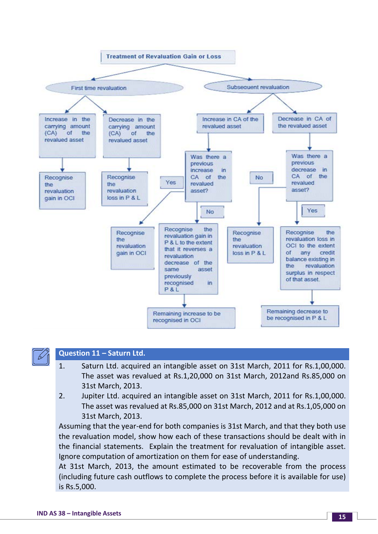



# **Question 11 – Saturn Ltd.**

- 1. Saturn Ltd. acquired an intangible asset on 31st March, 2011 for Rs.1,00,000. The asset was revalued at Rs.1,20,000 on 31st March, 2012and Rs.85,000 on 31st March, 2013.
- 2. Jupiter Ltd. acquired an intangible asset on 31st March, 2011 for Rs.1,00,000. The asset was revalued at Rs.85,000 on 31st March, 2012 and at Rs.1,05,000 on 31st March, 2013.

Assuming that the year-end for both companies is 31st March, and that they both use the revaluation model, show how each of these transactions should be dealt with in the financial statements. Explain the treatment for revaluation of intangible asset. Ignore computation of amortization on them for ease of understanding.

At 31st March, 2013, the amount estimated to be recoverable from the process (including future cash outflows to complete the process before it is available for use) is Rs.5,000.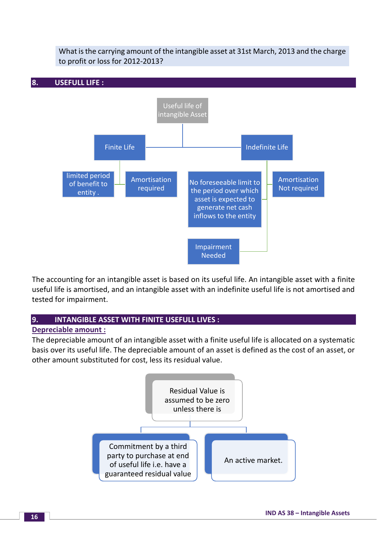What is the carrying amount of the intangible asset at 31st March, 2013 and the charge to profit or loss for 2012-2013?



The accounting for an intangible asset is based on its useful life. An intangible asset with a finite useful life is amortised, and an intangible asset with an indefinite useful life is not amortised and tested for impairment.

# **9. INTANGIBLE ASSET WITH FINITE USEFULL LIVES :**

# **Depreciable amount :**

The depreciable amount of an intangible asset with a finite useful life is allocated on a systematic basis over its useful life. The depreciable amount of an asset is defined as the cost of an asset, or other amount substituted for cost, less its residual value.

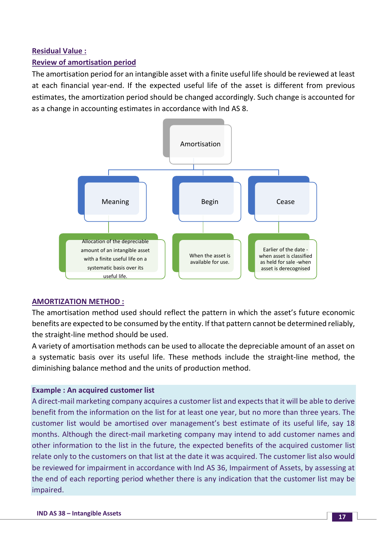# **Residual Value :**

# **Review of amortisation period**

The amortisation period for an intangible asset with a finite useful life should be reviewed at least at each financial year-end. If the expected useful life of the asset is different from previous estimates, the amortization period should be changed accordingly. Such change is accounted for as a change in accounting estimates in accordance with Ind AS 8.



# **AMORTIZATION METHOD :**

The amortisation method used should reflect the pattern in which the asset's future economic benefits are expected to be consumed by the entity. If that pattern cannot be determined reliably, the straight-line method should be used.

A variety of amortisation methods can be used to allocate the depreciable amount of an asset on a systematic basis over its useful life. These methods include the straight-line method, the diminishing balance method and the units of production method.

#### **Example : An acquired customer list**

A direct-mail marketing company acquires a customer list and expects that it will be able to derive benefit from the information on the list for at least one year, but no more than three years. The customer list would be amortised over management's best estimate of its useful life, say 18 months. Although the direct-mail marketing company may intend to add customer names and other information to the list in the future, the expected benefits of the acquired customer list relate only to the customers on that list at the date it was acquired. The customer list also would be reviewed for impairment in accordance with Ind AS 36, Impairment of Assets, by assessing at the end of each reporting period whether there is any indication that the customer list may be impaired.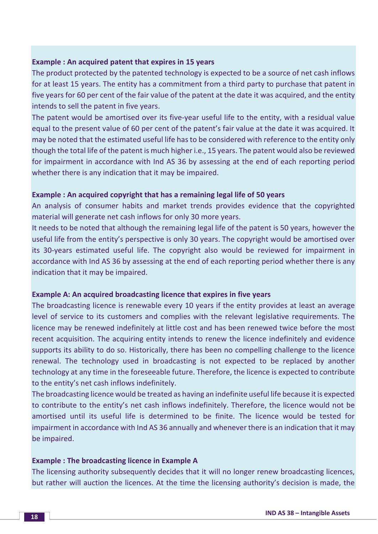# **Example : An acquired patent that expires in 15 years**

The product protected by the patented technology is expected to be a source of net cash inflows for at least 15 years. The entity has a commitment from a third party to purchase that patent in five years for 60 per cent of the fair value of the patent at the date it was acquired, and the entity intends to sell the patent in five years.

The patent would be amortised over its five-year useful life to the entity, with a residual value equal to the present value of 60 per cent of the patent's fair value at the date it was acquired. It may be noted that the estimated useful life has to be considered with reference to the entity only though the total life of the patent is much higher i.e., 15 years. The patent would also be reviewed for impairment in accordance with Ind AS 36 by assessing at the end of each reporting period whether there is any indication that it may be impaired.

# **Example : An acquired copyright that has a remaining legal life of 50 years**

An analysis of consumer habits and market trends provides evidence that the copyrighted material will generate net cash inflows for only 30 more years.

It needs to be noted that although the remaining legal life of the patent is 50 years, however the useful life from the entity's perspective is only 30 years. The copyright would be amortised over its 30-years estimated useful life. The copyright also would be reviewed for impairment in accordance with Ind AS 36 by assessing at the end of each reporting period whether there is any indication that it may be impaired.

# **Example A: An acquired broadcasting licence that expires in five years**

The broadcasting licence is renewable every 10 years if the entity provides at least an average level of service to its customers and complies with the relevant legislative requirements. The licence may be renewed indefinitely at little cost and has been renewed twice before the most recent acquisition. The acquiring entity intends to renew the licence indefinitely and evidence supports its ability to do so. Historically, there has been no compelling challenge to the licence renewal. The technology used in broadcasting is not expected to be replaced by another technology at any time in the foreseeable future. Therefore, the licence is expected to contribute to the entity's net cash inflows indefinitely.

The broadcasting licence would be treated as having an indefinite useful life because it is expected to contribute to the entity's net cash inflows indefinitely. Therefore, the licence would not be amortised until its useful life is determined to be finite. The licence would be tested for impairment in accordance with Ind AS 36 annually and whenever there is an indication that it may be impaired.

# **Example : The broadcasting licence in Example A**

The licensing authority subsequently decides that it will no longer renew broadcasting licences, but rather will auction the licences. At the time the licensing authority's decision is made, the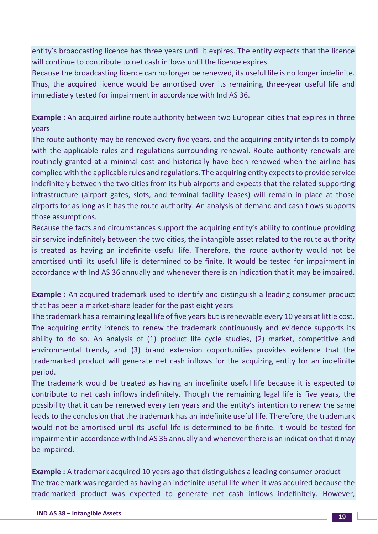entity's broadcasting licence has three years until it expires. The entity expects that the licence will continue to contribute to net cash inflows until the licence expires.

Because the broadcasting licence can no longer be renewed, its useful life is no longer indefinite. Thus, the acquired licence would be amortised over its remaining three-year useful life and immediately tested for impairment in accordance with Ind AS 36.

**Example :** An acquired airline route authority between two European cities that expires in three years

The route authority may be renewed every five years, and the acquiring entity intends to comply with the applicable rules and regulations surrounding renewal. Route authority renewals are routinely granted at a minimal cost and historically have been renewed when the airline has complied with the applicable rules and regulations. The acquiring entity expects to provide service indefinitely between the two cities from its hub airports and expects that the related supporting infrastructure (airport gates, slots, and terminal facility leases) will remain in place at those airports for as long as it has the route authority. An analysis of demand and cash flows supports those assumptions.

Because the facts and circumstances support the acquiring entity's ability to continue providing air service indefinitely between the two cities, the intangible asset related to the route authority is treated as having an indefinite useful life. Therefore, the route authority would not be amortised until its useful life is determined to be finite. It would be tested for impairment in accordance with Ind AS 36 annually and whenever there is an indication that it may be impaired.

**Example :** An acquired trademark used to identify and distinguish a leading consumer product that has been a market-share leader for the past eight years

The trademark has a remaining legal life of five years but is renewable every 10 years at little cost. The acquiring entity intends to renew the trademark continuously and evidence supports its ability to do so. An analysis of (1) product life cycle studies, (2) market, competitive and environmental trends, and (3) brand extension opportunities provides evidence that the trademarked product will generate net cash inflows for the acquiring entity for an indefinite period.

The trademark would be treated as having an indefinite useful life because it is expected to contribute to net cash inflows indefinitely. Though the remaining legal life is five years, the possibility that it can be renewed every ten years and the entity's intention to renew the same leads to the conclusion that the trademark has an indefinite useful life. Therefore, the trademark would not be amortised until its useful life is determined to be finite. It would be tested for impairment in accordance with Ind AS 36 annually and whenever there is an indication that it may be impaired.

**Example :** A trademark acquired 10 years ago that distinguishes a leading consumer product The trademark was regarded as having an indefinite useful life when it was acquired because the trademarked product was expected to generate net cash inflows indefinitely. However,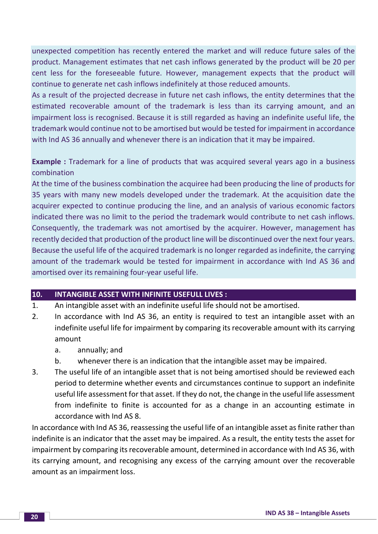unexpected competition has recently entered the market and will reduce future sales of the product. Management estimates that net cash inflows generated by the product will be 20 per cent less for the foreseeable future. However, management expects that the product will continue to generate net cash inflows indefinitely at those reduced amounts.

As a result of the projected decrease in future net cash inflows, the entity determines that the estimated recoverable amount of the trademark is less than its carrying amount, and an impairment loss is recognised. Because it is still regarded as having an indefinite useful life, the trademark would continue not to be amortised but would be tested for impairment in accordance with Ind AS 36 annually and whenever there is an indication that it may be impaired.

**Example :** Trademark for a line of products that was acquired several years ago in a business combination

At the time of the business combination the acquiree had been producing the line of products for 35 years with many new models developed under the trademark. At the acquisition date the acquirer expected to continue producing the line, and an analysis of various economic factors indicated there was no limit to the period the trademark would contribute to net cash inflows. Consequently, the trademark was not amortised by the acquirer. However, management has recently decided that production of the product line will be discontinued over the next four years. Because the useful life of the acquired trademark is no longer regarded as indefinite, the carrying amount of the trademark would be tested for impairment in accordance with Ind AS 36 and amortised over its remaining four-year useful life.

#### **10. INTANGIBLE ASSET WITH INFINITE USEFULL LIVES :**

- 1. An intangible asset with an indefinite useful life should not be amortised.
- 2. In accordance with Ind AS 36, an entity is required to test an intangible asset with an indefinite useful life for impairment by comparing its recoverable amount with its carrying amount
	- a. annually; and
	- b. whenever there is an indication that the intangible asset may be impaired.
- 3. The useful life of an intangible asset that is not being amortised should be reviewed each period to determine whether events and circumstances continue to support an indefinite useful life assessment for that asset. If they do not, the change in the useful life assessment from indefinite to finite is accounted for as a change in an accounting estimate in accordance with Ind AS 8.

In accordance with Ind AS 36, reassessing the useful life of an intangible asset as finite rather than indefinite is an indicator that the asset may be impaired. As a result, the entity tests the asset for impairment by comparing its recoverable amount, determined in accordance with Ind AS 36, with its carrying amount, and recognising any excess of the carrying amount over the recoverable amount as an impairment loss.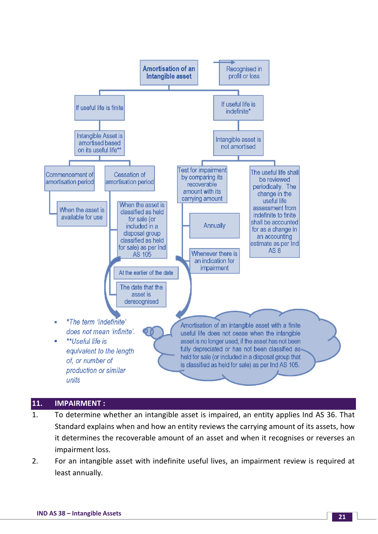

# **11. IMPAIRMENT :**

- 1. To determine whether an intangible asset is impaired, an entity applies Ind AS 36. That Standard explains when and how an entity reviews the carrying amount of its assets, how it determines the recoverable amount of an asset and when it recognises or reverses an impairment loss.
- 2. For an intangible asset with indefinite useful lives, an impairment review is required at least annually.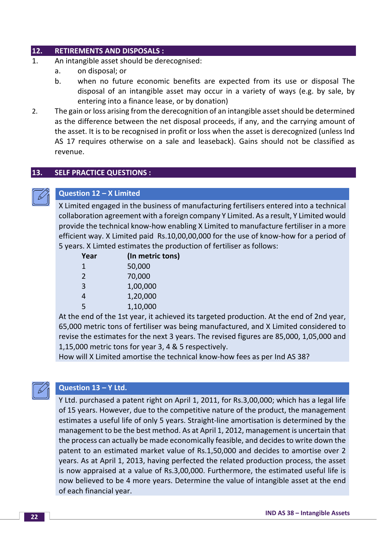#### **12. RETIREMENTS AND DISPOSALS :**

- 1. An intangible asset should be derecognised:
	- a. on disposal; or
	- b. when no future economic benefits are expected from its use or disposal The disposal of an intangible asset may occur in a variety of ways (e.g. by sale, by entering into a finance lease, or by donation)
- 2. The gain or loss arising from the derecognition of an intangible asset should be determined as the difference between the net disposal proceeds, if any, and the carrying amount of the asset. It is to be recognised in profit or loss when the asset is derecognized (unless Ind AS 17 requires otherwise on a sale and leaseback). Gains should not be classified as revenue.

# **13. SELF PRACTICE QUESTIONS :**



# **Question 12 – X Limited**

X Limited engaged in the business of manufacturing fertilisers entered into a technical collaboration agreement with a foreign company Y Limited. As a result, Y Limited would provide the technical know-how enabling X Limited to manufacture fertiliser in a more efficient way. X Limited paid Rs.10,00,00,000 for the use of know-how for a period of 5 years. X Limted estimates the production of fertiliser as follows:

| Year | (In metric tons) |
|------|------------------|
| 1    | 50,000           |
| 2    | 70,000           |
| 3    | 1,00,000         |
| 4    | 1,20,000         |
| 5    | 1,10,000         |

At the end of the 1st year, it achieved its targeted production. At the end of 2nd year, 65,000 metric tons of fertiliser was being manufactured, and X Limited considered to revise the estimates for the next 3 years. The revised figures are 85,000, 1,05,000 and 1,15,000 metric tons for year 3, 4 & 5 respectively.

How will X Limited amortise the technical know-how fees as per Ind AS 38?



# **Question 13 – Y Ltd.**

Y Ltd. purchased a patent right on April 1, 2011, for Rs.3,00,000; which has a legal life of 15 years. However, due to the competitive nature of the product, the management estimates a useful life of only 5 years. Straight-line amortisation is determined by the management to be the best method. As at April 1, 2012, management is uncertain that the process can actually be made economically feasible, and decides to write down the patent to an estimated market value of Rs.1,50,000 and decides to amortise over 2 years. As at April 1, 2013, having perfected the related production process, the asset is now appraised at a value of Rs.3,00,000. Furthermore, the estimated useful life is now believed to be 4 more years. Determine the value of intangible asset at the end of each financial year.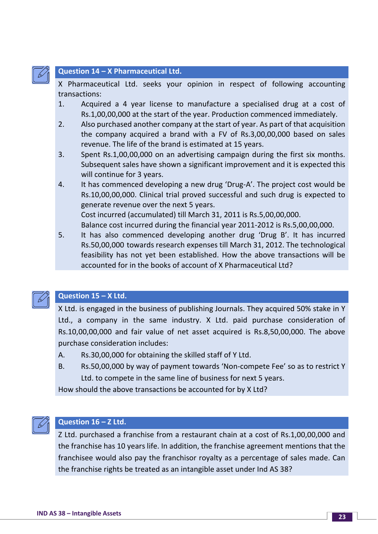# **Question 14 – X Pharmaceutical Ltd.**

X Pharmaceutical Ltd. seeks your opinion in respect of following accounting transactions:

- 1. Acquired a 4 year license to manufacture a specialised drug at a cost of Rs.1,00,00,000 at the start of the year. Production commenced immediately.
- 2. Also purchased another company at the start of year. As part of that acquisition the company acquired a brand with a FV of Rs.3,00,00,000 based on sales revenue. The life of the brand is estimated at 15 years.
- 3. Spent Rs.1,00,00,000 on an advertising campaign during the first six months. Subsequent sales have shown a significant improvement and it is expected this will continue for 3 years.
- 4. It has commenced developing a new drug 'Drug-A'. The project cost would be Rs.10,00,00,000. Clinical trial proved successful and such drug is expected to generate revenue over the next 5 years. Cost incurred (accumulated) till March 31, 2011 is Rs.5,00,00,000.

Balance cost incurred during the financial year 2011-2012 is Rs.5,00,00,000.

5. It has also commenced developing another drug 'Drug B'. It has incurred Rs.50,00,000 towards research expenses till March 31, 2012. The technological feasibility has not yet been established. How the above transactions will be accounted for in the books of account of X Pharmaceutical Ltd?



# **Question 15 – X Ltd.**

X Ltd. is engaged in the business of publishing Journals. They acquired 50% stake in Y Ltd., a company in the same industry. X Ltd. paid purchase consideration of Rs.10,00,00,000 and fair value of net asset acquired is Rs.8,50,00,000. The above purchase consideration includes:

- A. Rs.30,00,000 for obtaining the skilled staff of Y Ltd.
- B. Rs.50,00,000 by way of payment towards 'Non-compete Fee' so as to restrict Y Ltd. to compete in the same line of business for next 5 years.

How should the above transactions be accounted for by X Ltd?

# **Question 16 – Z Ltd.**

Z Ltd. purchased a franchise from a restaurant chain at a cost of Rs.1,00,00,000 and the franchise has 10 years life. In addition, the franchise agreement mentions that the franchisee would also pay the franchisor royalty as a percentage of sales made. Can the franchise rights be treated as an intangible asset under Ind AS 38?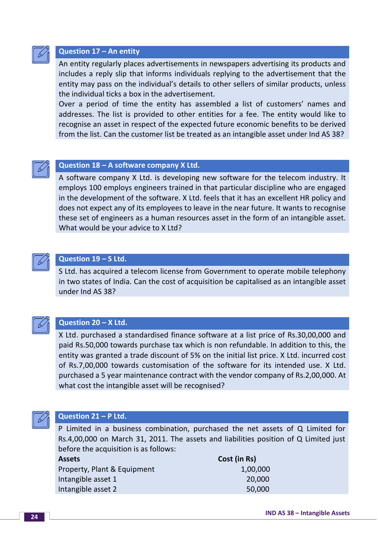

# **Question 17 – An entity**

An entity regularly places advertisements in newspapers advertising its products and includes a reply slip that informs individuals replying to the advertisement that the entity may pass on the individual's details to other sellers of similar products, unless the individual ticks a box in the advertisement.

Over a period of time the entity has assembled a list of customers' names and addresses. The list is provided to other entities for a fee. The entity would like to recognise an asset in respect of the expected future economic benefits to be derived from the list. Can the customer list be treated as an intangible asset under Ind AS 38?



#### **Question 18 – A software company X Ltd.**

A software company X Ltd. is developing new software for the telecom industry. It employs 100 employs engineers trained in that particular discipline who are engaged in the development of the software. X Ltd. feels that it has an excellent HR policy and does not expect any of its employees to leave in the near future. It wants to recognise these set of engineers as a human resources asset in the form of an intangible asset. What would be your advice to X Ltd?



#### **Question 19 – S Ltd.**

S Ltd. has acquired a telecom license from Government to operate mobile telephony in two states of India. Can the cost of acquisition be capitalised as an intangible asset under Ind AS 38?



# **Question 20 – X Ltd.**

X Ltd. purchased a standardised finance software at a list price of Rs.30,00,000 and paid Rs.50,000 towards purchase tax which is non refundable. In addition to this, the entity was granted a trade discount of 5% on the initial list price. X Ltd. incurred cost of Rs.7,00,000 towards customisation of the software for its intended use. X Ltd. purchased a 5 year maintenance contract with the vendor company of Rs.2,00,000. At what cost the intangible asset will be recognised?



#### **Question 21 – P Ltd.**

P Limited in a business combination, purchased the net assets of Q Limited for Rs.4,00,000 on March 31, 2011. The assets and liabilities position of Q Limited just before the acquisition is as follows:

| Assets                      | Cost (in Rs) |
|-----------------------------|--------------|
| Property, Plant & Equipment | 1,00,000     |
| Intangible asset 1          | 20,000       |
| Intangible asset 2          | 50,000       |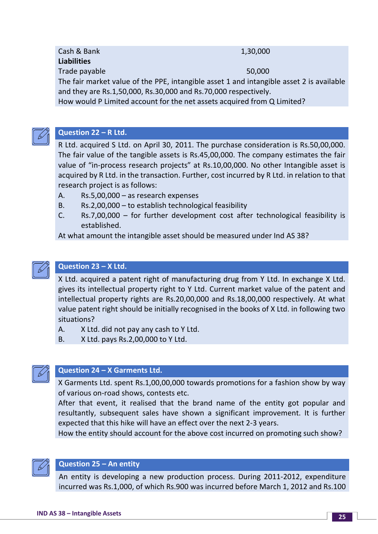| Cash & Bank                                                                              | 1,30,000 |  |
|------------------------------------------------------------------------------------------|----------|--|
| <b>Liabilities</b>                                                                       |          |  |
| Trade payable                                                                            | 50,000   |  |
| The fair market value of the PPE, intangible asset 1 and intangible asset 2 is available |          |  |
| and they are Rs.1,50,000, Rs.30,000 and Rs.70,000 respectively.                          |          |  |
| How would P Limited account for the net assets acquired from Q Limited?                  |          |  |



# **Question 22 – R Ltd.**

R Ltd. acquired S Ltd. on April 30, 2011. The purchase consideration is Rs.50,00,000. The fair value of the tangible assets is Rs.45,00,000. The company estimates the fair value of "in-process research projects" at Rs.10,00,000. No other Intangible asset is acquired by R Ltd. in the transaction. Further, cost incurred by R Ltd. in relation to that research project is as follows:

- A. Rs.5,00,000 as research expenses
- B. Rs.2,00,000 to establish technological feasibility
- C. Rs.7,00,000 for further development cost after technological feasibility is established.

At what amount the intangible asset should be measured under Ind AS 38?



# **Question 23 – X Ltd.**

X Ltd. acquired a patent right of manufacturing drug from Y Ltd. In exchange X Ltd. gives its intellectual property right to Y Ltd. Current market value of the patent and intellectual property rights are Rs.20,00,000 and Rs.18,00,000 respectively. At what value patent right should be initially recognised in the books of X Ltd. in following two situations?

A. X Ltd. did not pay any cash to Y Ltd.

B. X Ltd. pays Rs.2,00,000 to Y Ltd.



# **Question 24 – X Garments Ltd.**

X Garments Ltd. spent Rs.1,00,00,000 towards promotions for a fashion show by way of various on-road shows, contests etc.

After that event, it realised that the brand name of the entity got popular and resultantly, subsequent sales have shown a significant improvement. It is further expected that this hike will have an effect over the next 2-3 years.

How the entity should account for the above cost incurred on promoting such show?



# **Question 25 – An entity**

An entity is developing a new production process. During 2011-2012, expenditure incurred was Rs.1,000, of which Rs.900 was incurred before March 1, 2012 and Rs.100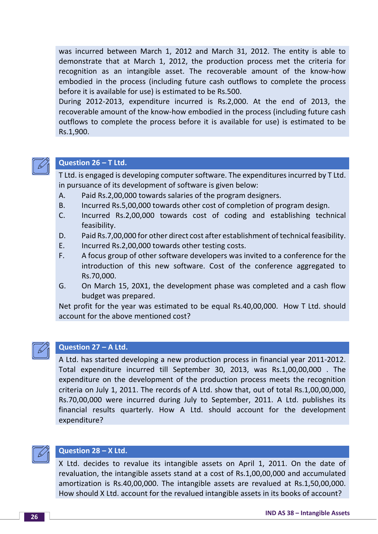was incurred between March 1, 2012 and March 31, 2012. The entity is able to demonstrate that at March 1, 2012, the production process met the criteria for recognition as an intangible asset. The recoverable amount of the know-how embodied in the process (including future cash outflows to complete the process before it is available for use) is estimated to be Rs.500.

During 2012-2013, expenditure incurred is Rs.2,000. At the end of 2013, the recoverable amount of the know-how embodied in the process (including future cash outflows to complete the process before it is available for use) is estimated to be Rs.1,900.



# **Question 26 – T Ltd.**

T Ltd. is engaged is developing computer software. The expenditures incurred by T Ltd. in pursuance of its development of software is given below:

- A. Paid Rs.2,00,000 towards salaries of the program designers.
- B. Incurred Rs.5,00,000 towards other cost of completion of program design.
- C. Incurred Rs.2,00,000 towards cost of coding and establishing technical feasibility.
- D. Paid Rs.7,00,000 for other direct cost after establishment of technical feasibility.
- E. Incurred Rs.2,00,000 towards other testing costs.
- F. A focus group of other software developers was invited to a conference for the introduction of this new software. Cost of the conference aggregated to Rs.70,000.
- G. On March 15, 20X1, the development phase was completed and a cash flow budget was prepared.

Net profit for the year was estimated to be equal Rs.40,00,000. How T Ltd. should account for the above mentioned cost?



# **Question 27 – A Ltd.**

A Ltd. has started developing a new production process in financial year 2011-2012. Total expenditure incurred till September 30, 2013, was Rs.1,00,00,000 . The expenditure on the development of the production process meets the recognition criteria on July 1, 2011. The records of A Ltd. show that, out of total Rs.1,00,00,000, Rs.70,00,000 were incurred during July to September, 2011. A Ltd. publishes its financial results quarterly. How A Ltd. should account for the development expenditure?



# **Question 28 – X Ltd.**

X Ltd. decides to revalue its intangible assets on April 1, 2011. On the date of revaluation, the intangible assets stand at a cost of Rs.1,00,00,000 and accumulated amortization is Rs.40,00,000. The intangible assets are revalued at Rs.1,50,00,000. How should X Ltd. account for the revalued intangible assets in its books of account?